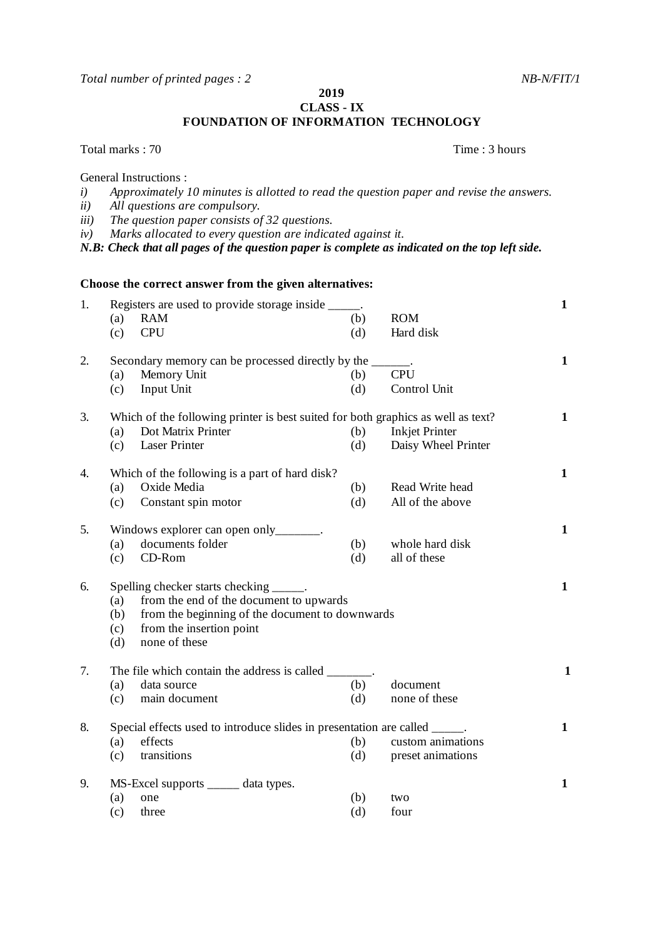General Instructions :

**2019 CLASS - IX**

**FOUNDATION OF INFORMATION TECHNOLOGY**

*i) Approximately 10 minutes is allotted to read the question paper and revise the answers. ii) All questions are compulsory. iii) The question paper consists of 32 questions. iv) Marks allocated to every question are indicated against it. N.B: Check that all pages of the question paper is complete as indicated on the top left side.* **Choose the correct answer from the given alternatives:** 1. Registers are used to provide storage inside \_\_\_\_\_. **1** (a) RAM (b) ROM (c) CPU (d) Hard disk 2. Secondary memory can be processed directly by the  $\frac{1}{\text{[PII]}}$  (a) Memory Unit (a) Memory Unit  $(b)$ (c) Input Unit (d) Control Unit 3. Which of the following printer is best suited for both graphics as well as text? **1** (a) Dot Matrix Printer (b) Inkjet Printer (c) Laser Printer (d) Daisy Wheel Printer 4. Which of the following is a part of hard disk? **1** (a) Oxide Media (b) Read Write head (c) Constant spin motor (d) All of the above 5. Windows explorer can open only<sub>\_\_\_\_\_\_\_</sub>. **1** (a) documents folder (b) whole hard disk (c) CD-Rom (d) all of these 6. Spelling checker starts checking \_\_\_\_\_. **1** (a) from the end of the document to upwards (b) from the beginning of the document to downwards (c) from the insertion point (d) none of these 7. The file which contain the address is called \_\_\_\_\_\_\_. **1** (a) data source (b) document (c) main document (d) none of these 8. Special effects used to introduce slides in presentation are called \_\_\_\_\_. **1** (a) effects (b) custom animations (c) transitions (d) effects (d) custom animations (c) transitions (d) effects (d) exercise  $\frac{1}{2}$ (c) transitions (d) preset animations 9. MS-Excel supports \_\_\_\_\_ data types. **1** (a) one (b) two (c) three (d) four

Total marks : 70 Time : 3 hours